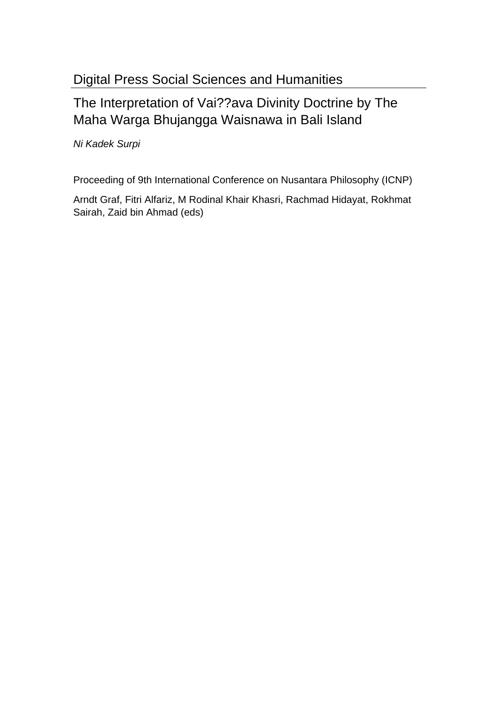# Digital Press Social Sciences and Humanities

# The Interpretation of Vai??ava Divinity Doctrine by The Maha Warga Bhujangga Waisnawa in Bali Island

Ni Kadek Surpi

Proceeding of 9th International Conference on Nusantara Philosophy (ICNP)

Arndt Graf, Fitri Alfariz, M Rodinal Khair Khasri, Rachmad Hidayat, Rokhmat Sairah, Zaid bin Ahmad (eds)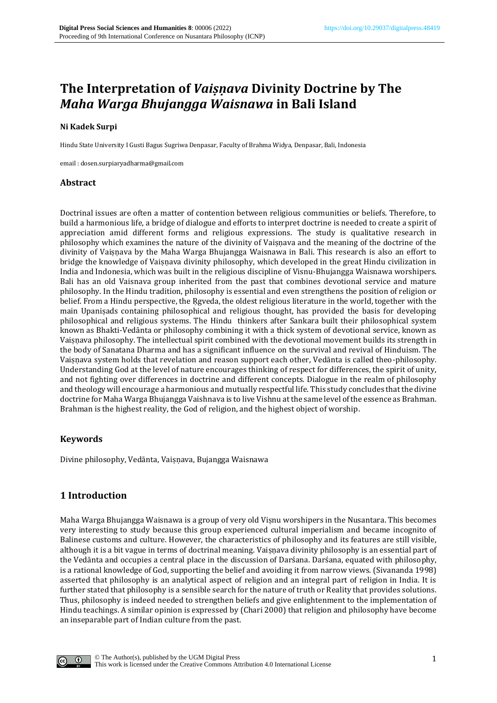## **The Interpretation of** *Vaiṣṇava* **Divinity Doctrine by The**  *Maha Warga Bhujangga Waisnawa* **in Bali Island**

#### **Ni Kadek Surpi**

Hindu State University I Gusti Bagus Sugriwa Denpasar, Faculty of Brahma Widya, Denpasar, Bali, Indonesia

email : dosen.surpiaryadharma@gmail.com

### **Abstract**

Doctrinal issues are often a matter of contention between religious communities or beliefs. Therefore, to build a harmonious life, a bridge of dialogue and efforts to interpret doctrine is needed to create a spirit of appreciation amid different forms and religious expressions. The study is qualitative research in philosophy which examines the nature of the divinity of Vaisnava and the meaning of the doctrine of the divinity of Vaisnava by the Maha Warga Bhujangga Waisnawa in Bali. This research is also an effort to bridge the knowledge of Vaisnava divinity philosophy, which developed in the great Hindu civilization in India and Indonesia, which was built in the religious discipline of Visnu-Bhujangga Waisnawa worshipers. Bali has an old Vaisnava group inherited from the past that combines devotional service and mature philosophy. In the Hindu tradition, philosophy is essential and even strengthens the position of religion or belief. From a Hindu perspective, the Ṛgveda, the oldest religious literature in the world, together with the main Upaniṣads containing philosophical and religious thought, has provided the basis for developing philosophical and religious systems. The Hindu thinkers after Sankara built their philosophical system known as Bhakti-Vedānta or philosophy combining it with a thick system of devotional service, known as Vaiṣṇava philosophy. The intellectual spirit combined with the devotional movement builds its strength in the body of Sanatana Dharma and has a significant influence on the survival and revival of Hinduism. The Vaiṣṇava system holds that revelation and reason support each other, Vedānta is called theo-philosophy. Understanding God at the level of nature encourages thinking of respect for differences, the spirit of unity, and not fighting over differences in doctrine and different concepts. Dialogue in the realm of philosophy and theology will encourage a harmonious and mutually respectful life. This study concludes that the divine doctrine for Maha Warga Bhujangga Vaishnava is to live Vishnu at the same level of the essence as Brahman. Brahman is the highest reality, the God of religion, and the highest object of worship.

### **Keywords**

Divine philosophy, Vedānta, Vaiṣṇava, Bujangga Waisnawa

## **1 Introduction**

Maha Warga Bhujangga Waisnawa is a group of very old Viṣnu worshipers in the Nusantara. This becomes very interesting to study because this group experienced cultural imperialism and became incognito of Balinese customs and culture. However, the characteristics of philosophy and its features are still visible, although it is a bit vague in terms of doctrinal meaning. Vaiṣṇava divinity philosophy is an essential part of the Vedānta and occupies a central place in the discussion of Darśana. Darśana, equated with philosophy, is a rational knowledge of God, supporting the belief and avoiding it from narrow views. (Sivananda 1998) asserted that philosophy is an analytical aspect of religion and an integral part of religion in India. It is further stated that philosophy is a sensible search for the nature of truth or Reality that provides solutions. Thus, philosophy is indeed needed to strengthen beliefs and give enlightenment to the implementation of Hindu teachings. A similar opinion is expressed by (Chari 2000) that religion and philosophy have become an inseparable part of Indian culture from the past.

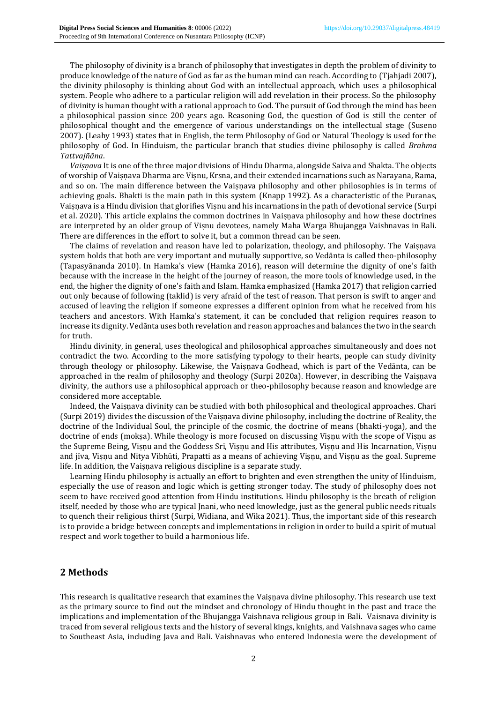The philosophy of divinity is a branch of philosophy that investigates in depth the problem of divinity to produce knowledge of the nature of God as far as the human mind can reach. According to (Tjahjadi 2007), the divinity philosophy is thinking about God with an intellectual approach, which uses a philosophical system. People who adhere to a particular religion will add revelation in their process. So the philosophy of divinity is human thought with a rational approach to God. The pursuit of God through the mind has been a philosophical passion since 200 years ago. Reasoning God, the question of God is still the center of philosophical thought and the emergence of various understandings on the intellectual stage (Suseno 2007). (Leahy 1993) states that in English, the term Philosophy of God or Natural Theology is used for the philosophy of God. In Hinduism, the particular branch that studies divine philosophy is called *Brahma Tattvajñāna*.

*Vaiṣṇava* It is one of the three major divisions of Hindu Dharma, alongside Saiva and Shakta. The objects of worship of Vaiṣṇava Dharma are Viṣnu, Krsna, and their extended incarnations such as Narayana, Rama, and so on. The main difference between the Vaiṣṇava philosophy and other philosophies is in terms of achieving goals. Bhakti is the main path in this system (Knapp 1992). As a characteristic of the Puranas, Vaiṣṇava is a Hindu division that glorifies Viṣnu and his incarnations in the path of devotional service (Surpi et al. 2020). This article explains the common doctrines in Vaisnava philosophy and how these doctrines are interpreted by an older group of Viṣnu devotees, namely Maha Warga Bhujangga Vaishnavas in Bali. There are differences in the effort to solve it, but a common thread can be seen.

The claims of revelation and reason have led to polarization, theology, and philosophy. The Vaisnava system holds that both are very important and mutually supportive, so Vedānta is called theo-philosophy (Tapasyānanda 2010). In Hamka's view (Hamka 2016), reason will determine the dignity of one's faith because with the increase in the height of the journey of reason, the more tools of knowledge used, in the end, the higher the dignity of one's faith and Islam. Hamka emphasized (Hamka 2017) that religion carried out only because of following (taklid) is very afraid of the test of reason. That person is swift to anger and accused of leaving the religion if someone expresses a different opinion from what he received from his teachers and ancestors. With Hamka's statement, it can be concluded that religion requires reason to increase its dignity. Vedānta uses both revelation and reason approaches and balances the two in the search for truth.

Hindu divinity, in general, uses theological and philosophical approaches simultaneously and does not contradict the two. According to the more satisfying typology to their hearts, people can study divinity through theology or philosophy. Likewise, the Vaisnava Godhead, which is part of the Vedānta, can be approached in the realm of philosophy and theology (Surpi 2020a). However, in describing the Vaisnava divinity, the authors use a philosophical approach or theo-philosophy because reason and knowledge are considered more acceptable.

Indeed, the Vaiṣṇava divinity can be studied with both philosophical and theological approaches. Chari (Surpi 2019) divides the discussion of the Vaisnava divine philosophy, including the doctrine of Reality, the doctrine of the Individual Soul, the principle of the cosmic, the doctrine of means (bhakti-yoga), and the doctrine of ends (moksa). While theology is more focused on discussing Visnu with the scope of Visnu as the Supreme Being, Visnu and the Goddess Srī, Visnu and His attributes, Visnu and His Incarnation, Visnu and jīva, Viṣṇu and Nitya Vibhūti, Prapatti as a means of achieving Viṣṇu, and Viṣṇu as the goal. Supreme life. In addition, the Vaiṣṇava religious discipline is a separate study.

Learning Hindu philosophy is actually an effort to brighten and even strengthen the unity of Hinduism, especially the use of reason and logic which is getting stronger today. The study of philosophy does not seem to have received good attention from Hindu institutions. Hindu philosophy is the breath of religion itself, needed by those who are typical Jnani, who need knowledge, just as the general public needs rituals to quench their religious thirst (Surpi, Widiana, and Wika 2021). Thus, the important side of this research is to provide a bridge between concepts and implementations in religion in order to build a spirit of mutual respect and work together to build a harmonious life.

## **2 Methods**

This research is qualitative research that examines the Vaiṣṇava divine philosophy. This research use text as the primary source to find out the mindset and chronology of Hindu thought in the past and trace the implications and implementation of the Bhujangga Vaishnava religious group in Bali. Vaisnava divinity is traced from several religious texts and the history of several kings, knights, and Vaishnava sages who came to Southeast Asia, including Java and Bali. Vaishnavas who entered Indonesia were the development of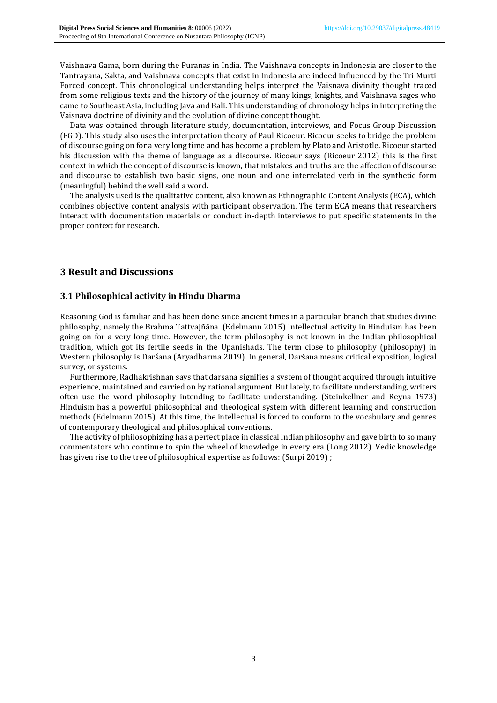Vaishnava Gama, born during the Puranas in India. The Vaishnava concepts in Indonesia are closer to the Tantrayana, Sakta, and Vaishnava concepts that exist in Indonesia are indeed influenced by the Tri Murti Forced concept. This chronological understanding helps interpret the Vaisnava divinity thought traced from some religious texts and the history of the journey of many kings, knights, and Vaishnava sages who came to Southeast Asia, including Java and Bali. This understanding of chronology helps in interpreting the Vaisnava doctrine of divinity and the evolution of divine concept thought.

Data was obtained through literature study, documentation, interviews, and Focus Group Discussion (FGD). This study also uses the interpretation theory of Paul Ricoeur. Ricoeur seeks to bridge the problem of discourse going on for a very long time and has become a problem by Plato and Aristotle. Ricoeur started his discussion with the theme of language as a discourse. Ricoeur says (Ricoeur 2012) this is the first context in which the concept of discourse is known, that mistakes and truths are the affection of discourse and discourse to establish two basic signs, one noun and one interrelated verb in the synthetic form (meaningful) behind the well said a word.

The analysis used is the qualitative content, also known as Ethnographic Content Analysis (ECA), which combines objective content analysis with participant observation. The term ECA means that researchers interact with documentation materials or conduct in-depth interviews to put specific statements in the proper context for research.

## **3 Result and Discussions**

## **3.1 Philosophical activity in Hindu Dharma**

Reasoning God is familiar and has been done since ancient times in a particular branch that studies divine philosophy, namely the Brahma Tattvajñāna. (Edelmann 2015) Intellectual activity in Hinduism has been going on for a very long time. However, the term philosophy is not known in the Indian philosophical tradition, which got its fertile seeds in the Upanishads. The term close to philosophy (philosophy) in Western philosophy is Darśana (Aryadharma 2019). In general, Darśana means critical exposition, logical survey, or systems.

Furthermore, Radhakrishnan says that darśana signifies a system of thought acquired through intuitive experience, maintained and carried on by rational argument. But lately, to facilitate understanding, writers often use the word philosophy intending to facilitate understanding. (Steinkellner and Reyna 1973) Hinduism has a powerful philosophical and theological system with different learning and construction methods (Edelmann 2015). At this time, the intellectual is forced to conform to the vocabulary and genres of contemporary theological and philosophical conventions.

The activity of philosophizing has a perfect place in classical Indian philosophy and gave birth to so many commentators who continue to spin the wheel of knowledge in every era (Long 2012). Vedic knowledge has given rise to the tree of philosophical expertise as follows: (Surpi 2019) ;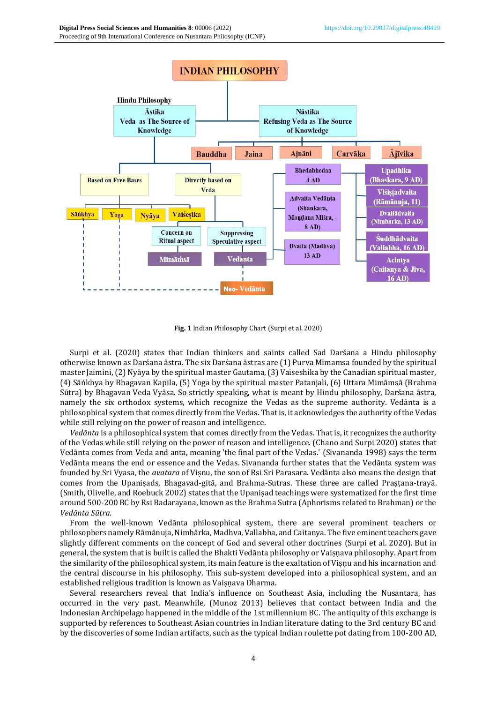

**Fig. 1** Indian Philosophy Chart (Surpi et al. 2020)

Surpi et al. (2020) states that Indian thinkers and saints called Sad Darśana a Hindu philosophy otherwise known as Darśana āstra. The six Darśana āstras are (1) Purva Mimamsa founded by the spiritual master Jaimini, (2) Nyāya by the spiritual master Gautama, (3) Vaiseshika by the Canadian spiritual master, (4) Sāṅkhya by Bhagavan Kapila, (5) Yoga by the spiritual master Patanjali, (6) Uttara Mimāmsā (Brahma Sūtra) by Bhagavan Veda Vyāsa. So strictly speaking, what is meant by Hindu philosophy, Darśana āstra, namely the six orthodox systems, which recognize the Vedas as the supreme authority. Vedānta is a philosophical system that comes directly from the Vedas. That is, it acknowledges the authority of the Vedas while still relying on the power of reason and intelligence.

*Vedānta* is a philosophical system that comes directly from the Vedas. That is, it recognizes the authority of the Vedas while still relying on the power of reason and intelligence. (Chano and Surpi 2020) states that Vedānta comes from Veda and anta, meaning 'the final part of the Vedas.' (Sivananda 1998) says the term Vedānta means the end or essence and the Vedas. Sivananda further states that the Vedānta system was founded by Sri Vyasa, the *avatara* of Viṣnu, the son of Rsi Sri Parasara. Vedānta also means the design that comes from the Upaniṣads, Bhagavad-gitā, and Brahma-Sutras. These three are called Praṣṭana-trayā. (Smith, Olivelle, and Roebuck 2002) states that the Upaniṣad teachings were systematized for the first time around 500-200 BC by Rsi Badarayana, known as the Brahma Sutra (Aphorisms related to Brahman) or the *Vedānta Sūtra.*

From the well-known Vedānta philosophical system, there are several prominent teachers or philosophers namely Rāmānuja, Nimbārka, Madhva, Vallabha, and Caitanya. The five eminent teachers gave slightly different comments on the concept of God and several other doctrines (Surpi et al. 2020). But in general, the system that is built is called the Bhakti Vedānta philosophy or Vaiṣṇava philosophy. Apart from the similarity of the philosophical system, its main feature is the exaltation of Viṣṇu and his incarnation and the central discourse in his philosophy. This sub-system developed into a philosophical system, and an established religious tradition is known as Vaisnava Dharma.

Several researchers reveal that India's influence on Southeast Asia, including the Nusantara, has occurred in the very past. Meanwhile, (Munoz 2013) believes that contact between India and the Indonesian Archipelago happened in the middle of the 1st millennium BC. The antiquity of this exchange is supported by references to Southeast Asian countries in Indian literature dating to the 3rd century BC and by the discoveries of some Indian artifacts, such as the typical Indian roulette pot dating from 100-200 AD,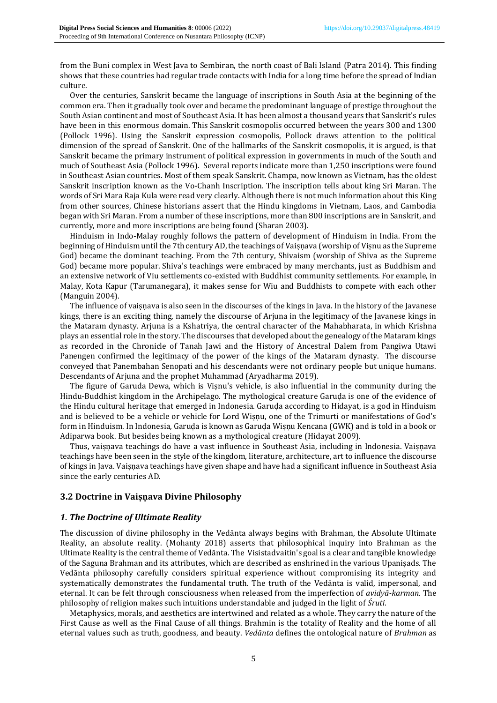from the Buni complex in West Java to Sembiran, the north coast of Bali Island (Patra 2014). This finding shows that these countries had regular trade contacts with India for a long time before the spread of Indian culture.

Over the centuries, Sanskrit became the language of inscriptions in South Asia at the beginning of the common era. Then it gradually took over and became the predominant language of prestige throughout the South Asian continent and most of Southeast Asia. It has been almost a thousand years that Sanskrit's rules have been in this enormous domain. This Sanskrit cosmopolis occurred between the years 300 and 1300 (Pollock 1996). Using the Sanskrit expression cosmopolis, Pollock draws attention to the political dimension of the spread of Sanskrit. One of the hallmarks of the Sanskrit cosmopolis, it is argued, is that Sanskrit became the primary instrument of political expression in governments in much of the South and much of Southeast Asia (Pollock 1996). Several reports indicate more than 1,250 inscriptions were found in Southeast Asian countries. Most of them speak Sanskrit. Champa, now known as Vietnam, has the oldest Sanskrit inscription known as the Vo-Chanh Inscription. The inscription tells about king Sri Maran. The words of Sri Mara Raja Kula were read very clearly. Although there is not much information about this King from other sources, Chinese historians assert that the Hindu kingdoms in Vietnam, Laos, and Cambodia began with Sri Maran. From a number of these inscriptions, more than 800 inscriptions are in Sanskrit, and currently, more and more inscriptions are being found (Sharan 2003).

Hinduism in Indo-Malay roughly follows the pattern of development of Hinduism in India. From the beginning of Hinduism until the 7th century AD, the teachings of Vaisnava (worship of Visnu as the Supreme God) became the dominant teaching. From the 7th century, Shivaism (worship of Shiva as the Supreme God) became more popular. Shiva's teachings were embraced by many merchants, just as Buddhism and an extensive network of Viu settlements co-existed with Buddhist community settlements. For example, in Malay, Kota Kapur (Tarumanegara), it makes sense for Wiu and Buddhists to compete with each other (Manguin 2004).

The influence of vaisnava is also seen in the discourses of the kings in Java. In the history of the Javanese kings, there is an exciting thing, namely the discourse of Arjuna in the legitimacy of the Javanese kings in the Mataram dynasty. Arjuna is a Kshatriya, the central character of the Mahabharata, in which Krishna plays an essential role in the story. The discourses that developed about the genealogy of the Mataram kings as recorded in the Chronicle of Tanah Jawi and the History of Ancestral Dalem from Pangiwa Utawi Panengen confirmed the legitimacy of the power of the kings of the Mataram dynasty. The discourse conveyed that Panembahan Senopati and his descendants were not ordinary people but unique humans. Descendants of Arjuna and the prophet Muhammad (Aryadharma 2019).

The figure of Garuda Dewa, which is Visnu's vehicle, is also influential in the community during the Hindu-Buddhist kingdom in the Archipelago. The mythological creature Garuḍa is one of the evidence of the Hindu cultural heritage that emerged in Indonesia. Garuḍa according to Hidayat, is a god in Hinduism and is believed to be a vehicle or vehicle for Lord Wiṣṇu, one of the Trimurti or manifestations of God's form in Hinduism. In Indonesia, Garuḍa is known as Garuḍa Wiṣṇu Kencana (GWK) and is told in a book or Adiparwa book. But besides being known as a mythological creature (Hidayat 2009).

Thus, vaisnava teachings do have a vast influence in Southeast Asia, including in Indonesia. Vaisnava teachings have been seen in the style of the kingdom, literature, architecture, art to influence the discourse of kings in Java. Vaiṣṇava teachings have given shape and have had a significant influence in Southeast Asia since the early centuries AD.

## **3.2 Doctrine in Vaiṣṇava Divine Philosophy**

#### *1. The Doctrine of Ultimate Reality*

The discussion of divine philosophy in the Vedānta always begins with Brahman, the Absolute Ultimate Reality, an absolute reality. (Mohanty 2018) asserts that philosophical inquiry into Brahman as the Ultimate Reality is the central theme of Vedānta. The Visistadvaitin's goal is a clear and tangible knowledge of the Saguna Brahman and its attributes, which are described as enshrined in the various Upaniṣads. The Vedānta philosophy carefully considers spiritual experience without compromising its integrity and systematically demonstrates the fundamental truth. The truth of the Vedānta is valid, impersonal, and eternal. It can be felt through consciousness when released from the imperfection of *avidyā-karman*. The philosophy of religion makes such intuitions understandable and judged in the light of *Śruti*.

Metaphysics, morals, and aesthetics are intertwined and related as a whole. They carry the nature of the First Cause as well as the Final Cause of all things. Brahmin is the totality of Reality and the home of all eternal values such as truth, goodness, and beauty. *Vedānta* defines the ontological nature of *Brahman* as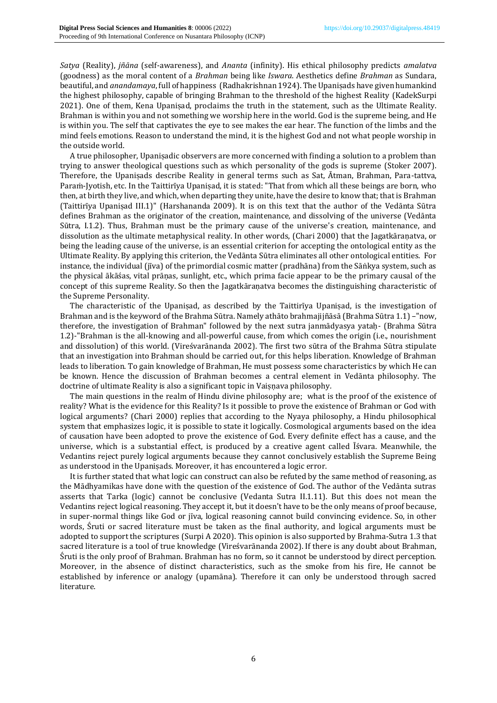*Satya* (Reality), *jñāna* (self-awareness), and *Ananta* (infinity). His ethical philosophy predicts *amalatva* (goodness) as the moral content of a *Brahman* being like *Iswara*. Aesthetics define *Brahman* as Sundara, beautiful, and *anandamaya*, full of happiness (Radhakrishnan 1924). The Upaniṣads have given humankind the highest philosophy, capable of bringing Brahman to the threshold of the highest Reality (KadekSurpi 2021). One of them, Kena Upaniṣad, proclaims the truth in the statement, such as the Ultimate Reality. Brahman is within you and not something we worship here in the world. God is the supreme being, and He is within you. The self that captivates the eye to see makes the ear hear. The function of the limbs and the mind feels emotions. Reason to understand the mind, it is the highest God and not what people worship in the outside world.

A true philosopher, Upaniṣadic observers are more concerned with finding a solution to a problem than trying to answer theological questions such as which personality of the gods is supreme (Stoker 2007). Therefore, the Upaniṣads describe Reality in general terms such as Sat, Ātman, Brahman, Para-tattva, Paraṁ-Jyotish, etc. In the Taittirīya Upaniṣad, it is stated: "That from which all these beings are born, who then, at birth they live, and which, when departing they unite, have the desire to know that; that is Brahman (Taittirīya Upaniṣad III.1)" (Harshananda 2009). It is on this text that the author of the Vedānta Sūtra defines Brahman as the originator of the creation, maintenance, and dissolving of the universe (Vedānta Sūtra, I.1.2). Thus, Brahman must be the primary cause of the universe's creation, maintenance, and dissolution as the ultimate metaphysical reality. In other words, (Chari 2000) that the Jagatkāraṇatva, or being the leading cause of the universe, is an essential criterion for accepting the ontological entity as the Ultimate Reality. By applying this criterion, the Vedānta Sūtra eliminates all other ontological entities. For instance, the individual (jīva) of the primordial cosmic matter (pradhāna) from the Sāṅkya system, such as the physical ākāśas, vital prāṇas, sunlight, etc., which prima facie appear to be the primary causal of the concept of this supreme Reality. So then the Jagatkāraṇatva becomes the distinguishing characteristic of the Supreme Personality.

The characteristic of the Upaniṣad, as described by the Taittirīya Upaniṣad, is the investigation of Brahman and is the keyword of the Brahma Sūtra. Namely athāto brahmajijñāsā (Brahma Sūtra 1.1) –"now, therefore, the investigation of Brahman" followed by the next sutra janmādyasya yatah- (Brahma Sūtra 1.2)-"Brahman is the all-knowing and all-powerful cause, from which comes the origin (i.e., nourishment and dissolution) of this world. (Vireśvarānanda 2002). The first two sūtra of the Brahma Sūtra stipulate that an investigation into Brahman should be carried out, for this helps liberation. Knowledge of Brahman leads to liberation. To gain knowledge of Brahman, He must possess some characteristics by which He can be known. Hence the discussion of Brahman becomes a central element in Vedānta philosophy. The doctrine of ultimate Reality is also a significant topic in Vaiṣṇava philosophy*.*

The main questions in the realm of Hindu divine philosophy are; what is the proof of the existence of reality? What is the evidence for this Reality? Is it possible to prove the existence of Brahman or God with logical arguments? (Chari 2000) replies that according to the Nyaya philosophy, a Hindu philosophical system that emphasizes logic, it is possible to state it logically. Cosmological arguments based on the idea of causation have been adopted to prove the existence of God. Every definite effect has a cause, and the universe, which is a substantial effect, is produced by a creative agent called Īśvara. Meanwhile, the Vedantins reject purely logical arguments because they cannot conclusively establish the Supreme Being as understood in the Upaniṣads. Moreover, it has encountered a logic error.

It is further stated that what logic can construct can also be refuted by the same method of reasoning, as the Mādhyamikas have done with the question of the existence of God. The author of the Vedānta sutras asserts that Tarka (logic) cannot be conclusive (Vedanta Sutra II.1.11). But this does not mean the Vedantins reject logical reasoning. They accept it, but it doesn't have to be the only means of proof because, in super-normal things like God or jīva, logical reasoning cannot build convincing evidence. So, in other words, Śruti or sacred literature must be taken as the final authority, and logical arguments must be adopted to support the scriptures (Surpi A 2020). This opinion is also supported by Brahma-Sutra 1.3 that sacred literature is a tool of true knowledge (Vireśvarānanda 2002). If there is any doubt about Brahman, Śruti is the only proof of Brahman. Brahman has no form, so it cannot be understood by direct perception. Moreover, in the absence of distinct characteristics, such as the smoke from his fire, He cannot be established by inference or analogy (upamāna). Therefore it can only be understood through sacred literature.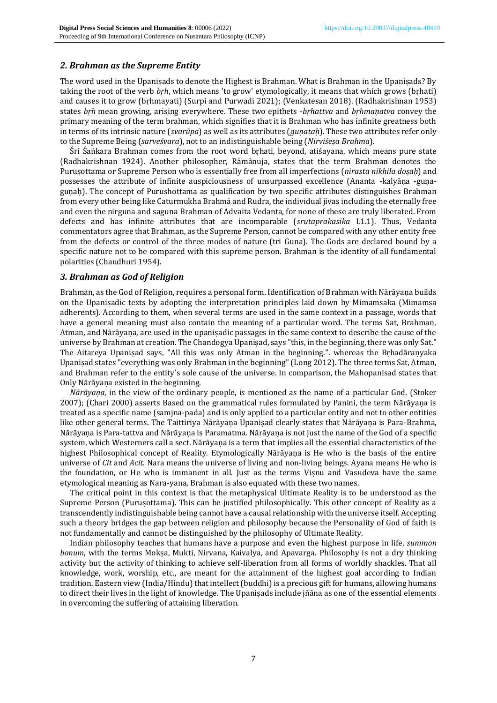### *2. Brahman as the Supreme Entity*

The word used in the Upaniṣads to denote the Highest is Brahman. What is Brahman in the Upaniṣads? By taking the root of the verb *bṛh*, which means 'to grow' etymologically, it means that which grows (bṛhati) and causes it to grow (bṛhmayati) (Surpi and Purwadi 2021); (Venkatesan 2018). (Radhakrishnan 1953) states *bṛh* mean growing, arising everywhere. These two epithets -*bṛhattva* and *bṛhmaṇatva* convey the primary meaning of the term brahman, which signifies that it is Brahman who has infinite greatness both in terms of its intrinsic nature (*svarūpa*) as well as its attributes (*guṇataḥ*). These two attributes refer only to the Supreme Being (*sarveśvara*), not to an indistinguishable being (*Nirviśeṣa Brahma*).

Śri Śaṅkara Brahman comes from the root word bṛhati, beyond, atiśayana, which means pure state (Radhakrishnan 1924). Another philosopher, Rāmānuja, states that the term Brahman denotes the Puruṣottama or Supreme Person who is essentially free from all imperfections (*nirasta nikhila doṣaḥ*) and possesses the attribute of infinite auspiciousness of unsurpassed excellence (Ananta -kalyāṇa -guṇaguṇaḥ). The concept of Purushottama as qualification by two specific attributes distinguishes Brahman from every other being like Caturmukha Brahmā and Rudra, the individual jīvas including the eternally free and even the nirguna and saguna Brahman of Advaita Vedanta, for none of these are truly liberated. From defects and has infinite attributes that are incomparable (*srutaprakasika* I.1.1). Thus, Vedanta commentators agree that Brahman, as the Supreme Person, cannot be compared with any other entity free from the defects or control of the three modes of nature (tri Guna). The Gods are declared bound by a specific nature not to be compared with this supreme person. Brahman is the identity of all fundamental polarities (Chaudhuri 1954).

### *3. Brahman as God of Religion*

Brahman, as the God of Religion, requires a personal form. Identification of Brahman with Nārāyaṇa builds on the Upaniṣadic texts by adopting the interpretation principles laid down by Mimamsaka (Mimamsa adherents). According to them, when several terms are used in the same context in a passage, words that have a general meaning must also contain the meaning of a particular word. The terms Sat, Brahman, Atman, and Nārāyaṇa, are used in the upaniṣadic passages in the same context to describe the cause of the universe by Brahman at creation. The Chandogya Upaniṣad, says "this, in the beginning, there was only Sat." The Aitareya Upaniṣad says, "All this was only Atman in the beginning.". whereas the Bṛhadāraṇyaka Upaniṣad states "everything was only Brahman in the beginning" (Long 2012). The three terms Sat, Atman, and Brahman refer to the entity's sole cause of the universe. In comparison, the Mahopanisad states that Only Nārāyaṇa existed in the beginning.

*Nārāyaṇa*, in the view of the ordinary people, is mentioned as the name of a particular God. (Stoker 2007); (Chari 2000) asserts Based on the grammatical rules formulated by Panini, the term Nārāyaṇa is treated as a specific name (samjna-pada) and is only applied to a particular entity and not to other entities like other general terms. The Taittiriya Nārāyaṇa Upaniṣad clearly states that Nārāyaṇa is Para-Brahma, Nārāyaṇa is Para-tattva and Nārāyaṇa is Paramatma. Nārāyaṇa is not just the name of the God of a specific system, which Westerners call a sect. Nārāyaṇa is a term that implies all the essential characteristics of the highest Philosophical concept of Reality. Etymologically Nārāyaṇa is He who is the basis of the entire universe of *Cit* and *Acit*. Nara means the universe of living and non-living beings. Ayana means He who is the foundation, or He who is immanent in all. Just as the terms Viṣnu and Vasudeva have the same etymological meaning as Nara-yana, Brahman is also equated with these two names.

The critical point in this context is that the metaphysical Ultimate Reality is to be understood as the Supreme Person (Purusottama). This can be justified philosophically. This other concept of Reality as a transcendently indistinguishable being cannot have a causal relationship with the universe itself. Accepting such a theory bridges the gap between religion and philosophy because the Personality of God of faith is not fundamentally and cannot be distinguished by the philosophy of Ultimate Reality.

Indian philosophy teaches that humans have a purpose and even the highest purpose in life, *summon bonum*, with the terms Mokṣa, Mukti, Nirvana, Kaivalya, and Apavarga. Philosophy is not a dry thinking activity but the activity of thinking to achieve self-liberation from all forms of worldly shackles. That all knowledge, work, worship, etc., are meant for the attainment of the highest goal according to Indian tradition. Eastern view (India/Hindu) that intellect (buddhi) is a precious gift for humans, allowing humans to direct their lives in the light of knowledge. The Upaniṣads include jñāna as one of the essential elements in overcoming the suffering of attaining liberation.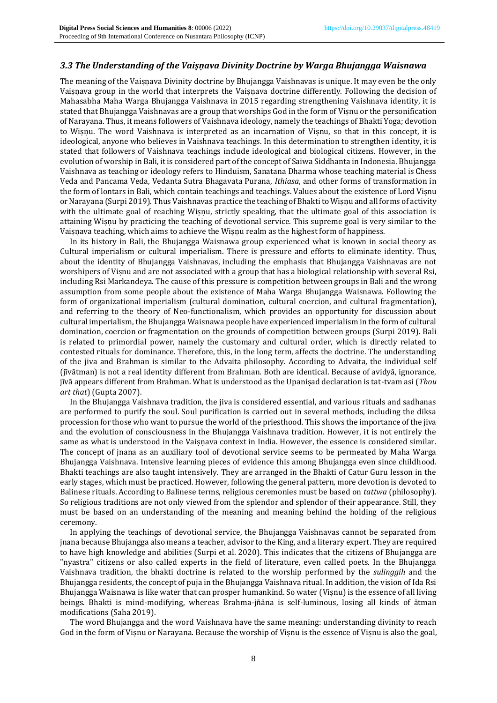### *3.3 The Understanding of the Vaiṣṇava Divinity Doctrine by Warga Bhujangga Waisnawa*

The meaning of the Vaisnava Divinity doctrine by Bhujangga Vaishnavas is unique. It may even be the only Vaisnava group in the world that interprets the Vaisnava doctrine differently. Following the decision of Mahasabha Maha Warga Bhujangga Vaishnava in 2015 regarding strengthening Vaishnava identity, it is stated that Bhujangga Vaishnavas are a group that worships God in the form of Viṣnu or the personification of Narayana. Thus, it means followers of Vaishnava ideology, namely the teachings of Bhakti Yoga; devotion to Wiṣṇu. The word Vaishnava is interpreted as an incarnation of Viṣnu, so that in this concept, it is ideological, anyone who believes in Vaishnava teachings. In this determination to strengthen identity, it is stated that followers of Vaishnava teachings include ideological and biological citizens. However, in the evolution of worship in Bali, it is considered part of the concept of Saiwa Siddhanta in Indonesia. Bhujangga Vaishnava as teaching or ideology refers to Hinduism, Sanatana Dharma whose teaching material is Chess Veda and Pancama Veda, Vedanta Sutra Bhagavata Purana, *Ithiasa*, and other forms of transformation in the form of lontars in Bali, which contain teachings and teachings. Values about the existence of Lord Viṣnu or Narayana (Surpi 2019). Thus Vaishnavas practice the teaching of Bhakti to Wiṣṇu and all forms of activity with the ultimate goal of reaching Wiṣṇu, strictly speaking, that the ultimate goal of this association is attaining Wisnu by practicing the teaching of devotional service. This supreme goal is very similar to the Vaisnava teaching, which aims to achieve the Wisnu realm as the highest form of happiness.

In its history in Bali, the Bhujangga Waisnawa group experienced what is known in social theory as Cultural imperialism or cultural imperialism. There is pressure and efforts to eliminate identity. Thus, about the identity of Bhujangga Vaishnavas, including the emphasis that Bhujangga Vaishnavas are not worshipers of Viṣnu and are not associated with a group that has a biological relationship with several Rsi, including Rsi Markandeya. The cause of this pressure is competition between groups in Bali and the wrong assumption from some people about the existence of Maha Warga Bhujangga Waisnawa. Following the form of organizational imperialism (cultural domination, cultural coercion, and cultural fragmentation), and referring to the theory of Neo-functionalism, which provides an opportunity for discussion about cultural imperialism, the Bhujangga Waisnawa people have experienced imperialism in the form of cultural domination, coercion or fragmentation on the grounds of competition between groups (Surpi 2019). Bali is related to primordial power, namely the customary and cultural order, which is directly related to contested rituals for dominance. Therefore, this, in the long term, affects the doctrine. The understanding of the jiva and Brahman is similar to the Advaita philosophy. According to Advaita, the individual self (jīvātman) is not a real identity different from Brahman. Both are identical. Because of avidyā, ignorance, jīvā appears different from Brahman. What is understood as the Upaniṣad declaration is tat-tvam asi (*Thou art that*) (Gupta 2007).

In the Bhujangga Vaishnava tradition, the jiva is considered essential, and various rituals and sadhanas are performed to purify the soul. Soul purification is carried out in several methods, including the diksa procession for those who want to pursue the world of the priesthood. This shows the importance of the jiva and the evolution of consciousness in the Bhujangga Vaishnava tradition. However, it is not entirely the same as what is understood in the Vaisnava context in India. However, the essence is considered similar. The concept of jnana as an auxiliary tool of devotional service seems to be permeated by Maha Warga Bhujangga Vaishnava. Intensive learning pieces of evidence this among Bhujangga even since childhood. Bhakti teachings are also taught intensively. They are arranged in the Bhakti of Catur Guru lesson in the early stages, which must be practiced. However, following the general pattern, more devotion is devoted to Balinese rituals. According to Balinese terms, religious ceremonies must be based on *tattwa* (philosophy). So religious traditions are not only viewed from the splendor and splendor of their appearance. Still, they must be based on an understanding of the meaning and meaning behind the holding of the religious ceremony.

In applying the teachings of devotional service, the Bhujangga Vaishnavas cannot be separated from jnana because Bhujangga also means a teacher, advisor to the King, and a literary expert. They are required to have high knowledge and abilities (Surpi et al. 2020). This indicates that the citizens of Bhujangga are "nyastra" citizens or also called experts in the field of literature, even called poets. In the Bhujangga Vaishnava tradition, the bhakti doctrine is related to the worship performed by the *sulinggih* and the Bhujangga residents, the concept of puja in the Bhujangga Vaishnava ritual. In addition, the vision of Ida Rsi Bhujangga Waisnawa is like water that can prosper humankind. So water (Viṣnu) is the essence of all living beings. Bhakti is mind-modifying, whereas Brahma-jñāna is self-luminous, losing all kinds of ātman modifications (Saha 2019).

The word Bhujangga and the word Vaishnava have the same meaning: understanding divinity to reach God in the form of Viṣnu or Narayana. Because the worship of Viṣnu is the essence of Viṣnu is also the goal,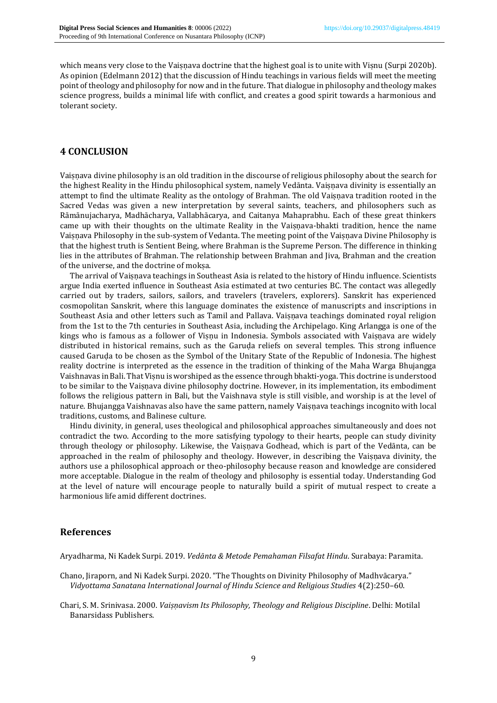which means very close to the Vaisnava doctrine that the highest goal is to unite with Viṣnu (Surpi 2020b). As opinion (Edelmann 2012) that the discussion of Hindu teachings in various fields will meet the meeting point of theology and philosophy for now and in the future. That dialogue in philosophy and theology makes science progress, builds a minimal life with conflict, and creates a good spirit towards a harmonious and tolerant society.

## **4 CONCLUSION**

Vaiṣṇava divine philosophy is an old tradition in the discourse of religious philosophy about the search for the highest Reality in the Hindu philosophical system, namely Vedānta. Vaiṣṇava divinity is essentially an attempt to find the ultimate Reality as the ontology of Brahman. The old Vaiṣṇava tradition rooted in the Sacred Vedas was given a new interpretation by several saints, teachers, and philosophers such as Rāmānujacharya, Madhācharya, Vallabhācarya, and Caitanya Mahaprabhu. Each of these great thinkers came up with their thoughts on the ultimate Reality in the Vaiṣṇava-bhakti tradition, hence the name Vaiṣṇava Philosophy in the sub-system of Vedanta. The meeting point of the Vaiṣṇava Divine Philosophy is that the highest truth is Sentient Being, where Brahman is the Supreme Person. The difference in thinking lies in the attributes of Brahman. The relationship between Brahman and Jiva, Brahman and the creation of the universe, and the doctrine of mokṣa.

The arrival of Vaiṣṇava teachings in Southeast Asia is related to the history of Hindu influence. Scientists argue India exerted influence in Southeast Asia estimated at two centuries BC. The contact was allegedly carried out by traders, sailors, sailors, and travelers (travelers, explorers). Sanskrit has experienced cosmopolitan Sanskrit, where this language dominates the existence of manuscripts and inscriptions in Southeast Asia and other letters such as Tamil and Pallava. Vaisnava teachings dominated royal religion from the 1st to the 7th centuries in Southeast Asia, including the Archipelago. King Arlangga is one of the kings who is famous as a follower of Viṣṇu in Indonesia. Symbols associated with Vaiṣṇava are widely distributed in historical remains, such as the Garuda reliefs on several temples. This strong influence caused Garuḍa to be chosen as the Symbol of the Unitary State of the Republic of Indonesia. The highest reality doctrine is interpreted as the essence in the tradition of thinking of the Maha Warga Bhujangga Vaishnavas in Bali. That Viṣnu is worshiped as the essence through bhakti-yoga. This doctrine is understood to be similar to the Vaisnava divine philosophy doctrine. However, in its implementation, its embodiment follows the religious pattern in Bali, but the Vaishnava style is still visible, and worship is at the level of nature. Bhujangga Vaishnavas also have the same pattern, namely Vaiṣṇava teachings incognito with local traditions, customs, and Balinese culture.

Hindu divinity, in general, uses theological and philosophical approaches simultaneously and does not contradict the two. According to the more satisfying typology to their hearts, people can study divinity through theology or philosophy. Likewise, the Vaisnava Godhead, which is part of the Vedānta, can be approached in the realm of philosophy and theology. However, in describing the Vaisnava divinity, the authors use a philosophical approach or theo-philosophy because reason and knowledge are considered more acceptable. Dialogue in the realm of theology and philosophy is essential today. Understanding God at the level of nature will encourage people to naturally build a spirit of mutual respect to create a harmonious life amid different doctrines.

## **References**

Aryadharma, Ni Kadek Surpi. 2019. *Vedānta & Metode Pemahaman Filsafat Hindu*. Surabaya: Paramita.

- Chano, Jiraporn, and Ni Kadek Surpi. 2020. "The Thoughts on Divinity Philosophy of Madhvācarya." *Vidyottama Sanatana International Journal of Hindu Science and Religious Studies* 4(2):250–60.
- Chari, S. M. Srinivasa. 2000. *Vaiṣṇavism Its Philosophy, Theology and Religious Discipline*. Delhi: Motilal Banarsidass Publishers.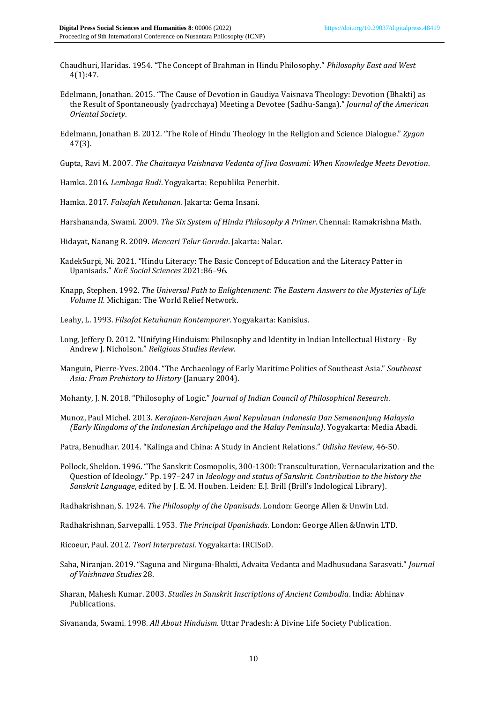- Chaudhuri, Haridas. 1954. "The Concept of Brahman in Hindu Philosophy." *Philosophy East and West* 4(1):47.
- Edelmann, Jonathan. 2015. "The Cause of Devotion in Gaudiya Vaisnava Theology: Devotion (Bhakti) as the Result of Spontaneously {yadrcchaya) Meeting a Devotee (Sadhu-Sanga)." *Journal of the American Oriental Society*.
- Edelmann, Jonathan B. 2012. "The Role of Hindu Theology in the Religion and Science Dialogue." *Zygon* 47(3).

Gupta, Ravi M. 2007. *The Chaitanya Vaishnava Vedanta of Jiva Gosvami: When Knowledge Meets Devotion*.

Hamka. 2016. *Lembaga Budi*. Yogyakarta: Republika Penerbit.

Hamka. 2017. *Falsafah Ketuhanan*. Jakarta: Gema Insani.

Harshananda, Swami. 2009. *The Six System of Hindu Philosophy A Primer*. Chennai: Ramakrishna Math.

Hidayat, Nanang R. 2009. *Mencari Telur Garuda*. Jakarta: Nalar.

- KadekSurpi, Ni. 2021. "Hindu Literacy: The Basic Concept of Education and the Literacy Patter in Upanisads." *KnE Social Sciences* 2021:86–96.
- Knapp, Stephen. 1992. *The Universal Path to Enlightenment: The Eastern Answers to the Mysteries of Life Volume II.* Michigan: The World Relief Network.
- Leahy, L. 1993. *Filsafat Ketuhanan Kontemporer*. Yogyakarta: Kanisius.
- Long, Jeffery D. 2012. "Unifying Hinduism: Philosophy and Identity in Indian Intellectual History By Andrew J. Nicholson." *Religious Studies Review*.
- Manguin, Pierre-Yves. 2004. "The Archaeology of Early Maritime Polities of Southeast Asia." *Southeast Asia: From Prehistory to History* (January 2004).

Mohanty, J. N. 2018. "Philosophy of Logic." *Journal of Indian Council of Philosophical Research*.

Munoz, Paul Michel. 2013. *Kerajaan-Kerajaan Awal Kepulauan Indonesia Dan Semenanjung Malaysia (Early Kingdoms of the Indonesian Archipelago and the Malay Peninsula)*. Yogyakarta: Media Abadi.

Patra, Benudhar. 2014. "Kalinga and China: A Study in Ancient Relations." *Odisha Review*, 46-50.

Pollock, Sheldon. 1996. "The Sanskrit Cosmopolis, 300-1300: Transculturation, Vernacularization and the Question of Ideology." Pp. 197–247 in *Ideology and status of Sanskrit. Contribution to the history the Sanskrit Language*, edited by J. E. M. Houben. Leiden: E.J. Brill (Brill's Indological Library).

Radhakrishnan, S. 1924. *The Philosophy of the Upanisads*. London: George Allen & Unwin Ltd.

Radhakrishnan, Sarvepalli. 1953. *The Principal Upanishads*. London: George Allen &Unwin LTD.

Ricoeur, Paul. 2012. *Teori Interpretasi*. Yogyakarta: IRCiSoD.

- Saha, Niranjan. 2019. "Saguna and Nirguna-Bhakti, Advaita Vedanta and Madhusudana Sarasvati." *Journal of Vaishnava Studies* 28.
- Sharan, Mahesh Kumar. 2003. *Studies in Sanskrit Inscriptions of Ancient Cambodia*. India: Abhinav Publications.

Sivananda, Swami. 1998. *All About Hinduism*. Uttar Pradesh: A Divine Life Society Publication.